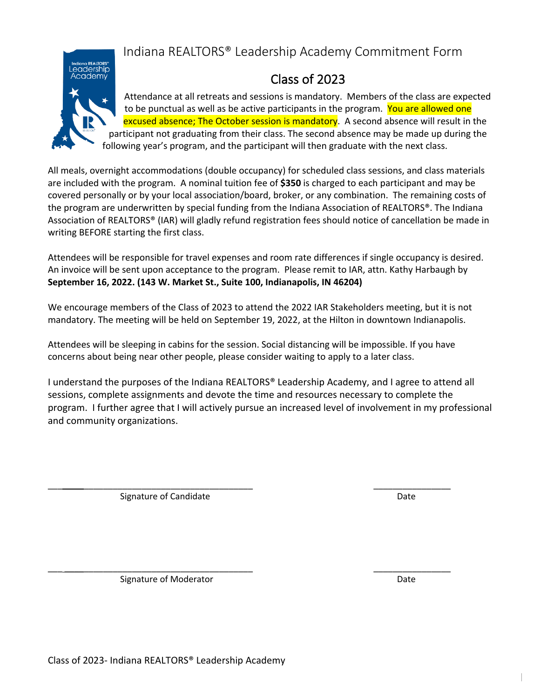## Indiana REALTORS® Leadership Academy Commitment Form



## Class of 2023

Attendance at all retreats and sessions is mandatory. Members of the class are expected to be punctual as well as be active participants in the program. You are allowed one excused absence; The October session is mandatory. A second absence will result in the participant not graduating from their class. The second absence may be made up during the following year's program, and the participant will then graduate with the next class.

All meals, overnight accommodations (double occupancy) for scheduled class sessions, and class materials are included with the program. A nominal tuition fee of **\$350** is charged to each participant and may be covered personally or by your local association/board, broker, or any combination. The remaining costs of the program are underwritten by special funding from the Indiana Association of REALTORS®. The Indiana Association of REALTORS® (IAR) will gladly refund registration fees should notice of cancellation be made in writing BEFORE starting the first class.

Attendees will be responsible for travel expenses and room rate differences if single occupancy is desired. An invoice will be sent upon acceptance to the program. Please remit to IAR, attn. Kathy Harbaugh by **September 16, 2022. (143 W. Market St., Suite 100, Indianapolis, IN 46204)**

We encourage members of the Class of 2023 to attend the 2022 IAR Stakeholders meeting, but it is not mandatory. The meeting will be held on September 19, 2022, at the Hilton in downtown Indianapolis.

Attendees will be sleeping in cabins for the session. Social distancing will be impossible. If you have concerns about being near other people, please consider waiting to apply to a later class.

 $\overline{\phantom{a}}$  ,  $\overline{\phantom{a}}$  ,  $\overline{\phantom{a}}$  ,  $\overline{\phantom{a}}$  ,  $\overline{\phantom{a}}$  ,  $\overline{\phantom{a}}$  ,  $\overline{\phantom{a}}$  ,  $\overline{\phantom{a}}$  ,  $\overline{\phantom{a}}$  ,  $\overline{\phantom{a}}$  ,  $\overline{\phantom{a}}$  ,  $\overline{\phantom{a}}$  ,  $\overline{\phantom{a}}$  ,  $\overline{\phantom{a}}$  ,  $\overline{\phantom{a}}$  ,  $\overline{\phantom{a}}$ 

I understand the purposes of the Indiana REALTORS® Leadership Academy, and I agree to attend all sessions, complete assignments and devote the time and resources necessary to complete the program. I further agree that I will actively pursue an increased level of involvement in my professional and community organizations.

Signature of Candidate **Date** Date Date

 $\overline{\phantom{a}}$  ,  $\overline{\phantom{a}}$  ,  $\overline{\phantom{a}}$  ,  $\overline{\phantom{a}}$  ,  $\overline{\phantom{a}}$  ,  $\overline{\phantom{a}}$  ,  $\overline{\phantom{a}}$  ,  $\overline{\phantom{a}}$  ,  $\overline{\phantom{a}}$  ,  $\overline{\phantom{a}}$  ,  $\overline{\phantom{a}}$  ,  $\overline{\phantom{a}}$  ,  $\overline{\phantom{a}}$  ,  $\overline{\phantom{a}}$  ,  $\overline{\phantom{a}}$  ,  $\overline{\phantom{a}}$ Signature of Moderator **Date** Date of Moderator **Date** 

|